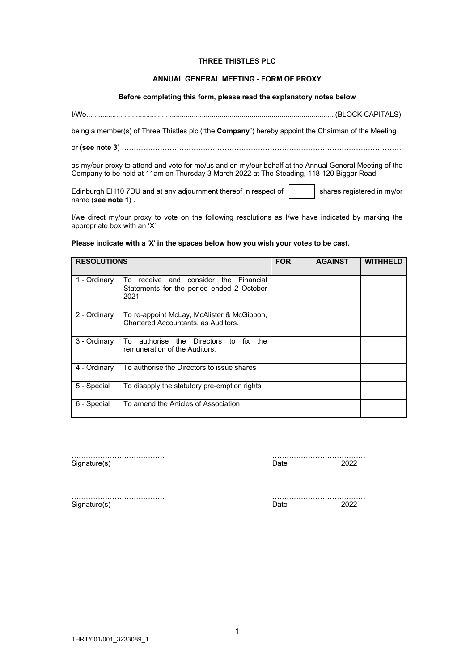# **THREE THISTLES PLC**

## **ANNUAL GENERAL MEETING - FORM OF PROXY**

# **Before completing this form, please read the explanatory notes below**

I/We.............................................................................................................................(BLOCK CAPITALS)

being a member(s) of Three Thistles plc ("the **Company**") hereby appoint the Chairman of the Meeting

or (**see note 3**) ………………………………………………………………………………………………………

as my/our proxy to attend and vote for me/us and on my/our behalf at the Annual General Meeting of the Company to be held at 11am on Thursday 3 March 2022 at The Steading, 118-120 Biggar Road,

Edinburgh EH10 7DU and at any adjournment thereof in respect of  $\vert$  shares registered in my/or name (**see note 1**) .

I/we direct my/our proxy to vote on the following resolutions as I/we have indicated by marking the appropriate box with an 'X'.

### **Please indicate with a** '**X**' **in the spaces below how you wish your votes to be cast.**

| <b>RESOLUTIONS</b> |                                                                                                 | <b>FOR</b> | <b>AGAINST</b> | <b>WITHHELD</b> |
|--------------------|-------------------------------------------------------------------------------------------------|------------|----------------|-----------------|
| 1 - Ordinary       | receive and consider the Financial<br>To<br>Statements for the period ended 2 October<br>2021   |            |                |                 |
| 2 - Ordinary       | To re-appoint McLay, McAlister & McGibbon,<br>Chartered Accountants, as Auditors.               |            |                |                 |
| 3 - Ordinary       | authorise<br><b>Directors</b><br>fix<br>To<br>the<br>to<br>the<br>remuneration of the Auditors. |            |                |                 |
| 4 - Ordinary       | To authorise the Directors to issue shares                                                      |            |                |                 |
| 5 - Special        | To disapply the statutory pre-emption rights                                                    |            |                |                 |
| 6 - Special        | To amend the Articles of Association                                                            |            |                |                 |

………………………………… ………………………………… Signature(s) Date 2022

Signature(s) Date 2022

………………………………… …………………………………